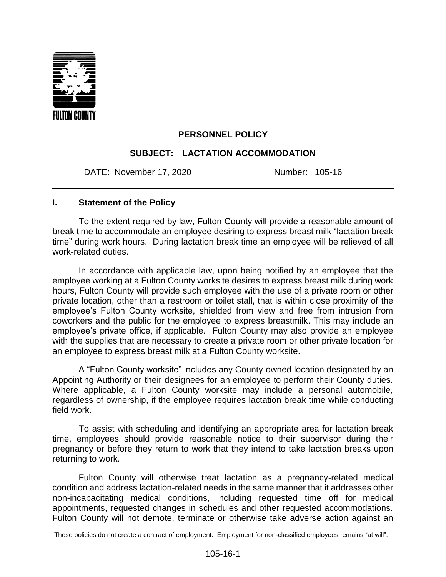

# **PERSONNEL POLICY**

## **SUBJECT: LACTATION ACCOMMODATION**

DATE: November 17, 2020 Number: 105-16

#### **I. Statement of the Policy**

To the extent required by law, Fulton County will provide a reasonable amount of break time to accommodate an employee desiring to express breast milk "lactation break time" during work hours. During lactation break time an employee will be relieved of all work-related duties.

In accordance with applicable law, upon being notified by an employee that the employee working at a Fulton County worksite desires to express breast milk during work hours, Fulton County will provide such employee with the use of a private room or other private location, other than a restroom or toilet stall, that is within close proximity of the employee's Fulton County worksite, shielded from view and free from intrusion from coworkers and the public for the employee to express breastmilk. This may include an employee's private office, if applicable. Fulton County may also provide an employee with the supplies that are necessary to create a private room or other private location for an employee to express breast milk at a Fulton County worksite.

A "Fulton County worksite" includes any County-owned location designated by an Appointing Authority or their designees for an employee to perform their County duties. Where applicable, a Fulton County worksite may include a personal automobile, regardless of ownership, if the employee requires lactation break time while conducting field work.

To assist with scheduling and identifying an appropriate area for lactation break time, employees should provide reasonable notice to their supervisor during their pregnancy or before they return to work that they intend to take lactation breaks upon returning to work.

Fulton County will otherwise treat lactation as a pregnancy-related medical condition and address lactation-related needs in the same manner that it addresses other non-incapacitating medical conditions, including requested time off for medical appointments, requested changes in schedules and other requested accommodations. Fulton County will not demote, terminate or otherwise take adverse action against an

These policies do not create a contract of employment. Employment for non-classified employees remains "at will".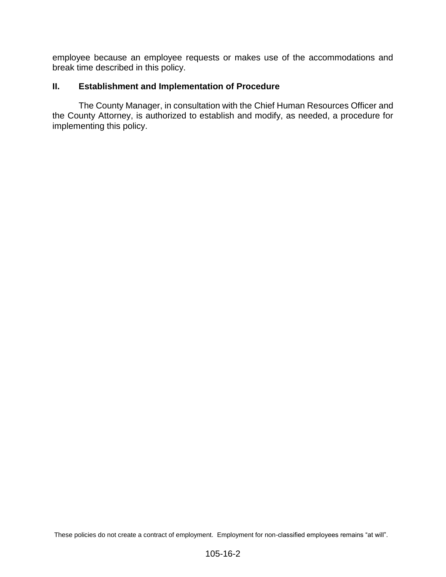employee because an employee requests or makes use of the accommodations and break time described in this policy.

### **II. Establishment and Implementation of Procedure**

The County Manager, in consultation with the Chief Human Resources Officer and the County Attorney, is authorized to establish and modify, as needed, a procedure for implementing this policy.

These policies do not create a contract of employment. Employment for non-classified employees remains "at will".